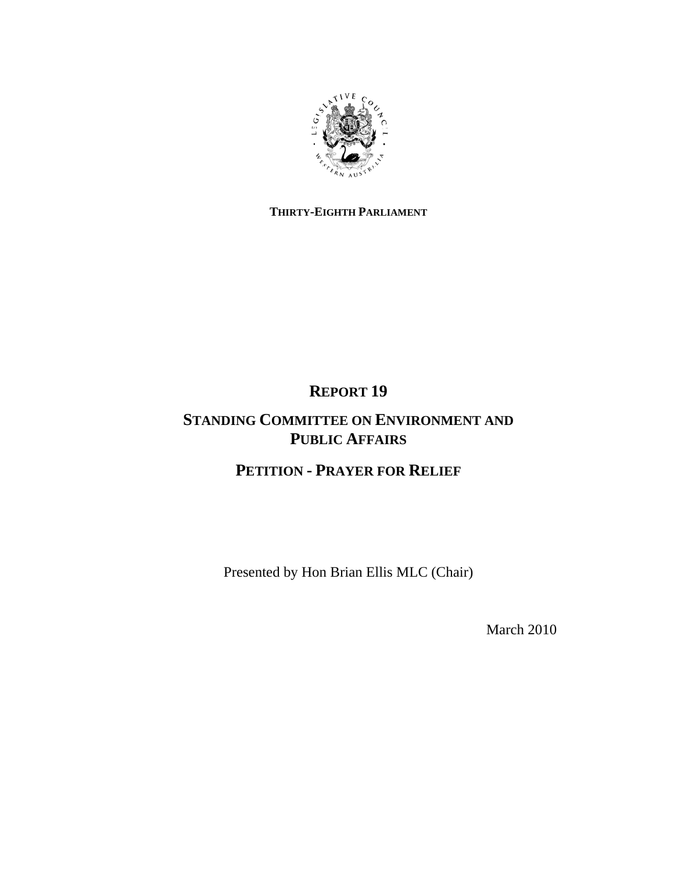

## **THIRTY-EIGHTH PARLIAMENT**

# **REPORT 19**

## **STANDING COMMITTEE ON ENVIRONMENT AND PUBLIC AFFAIRS**

# **PETITION - PRAYER FOR RELIEF**

Presented by Hon Brian Ellis MLC (Chair)

March 2010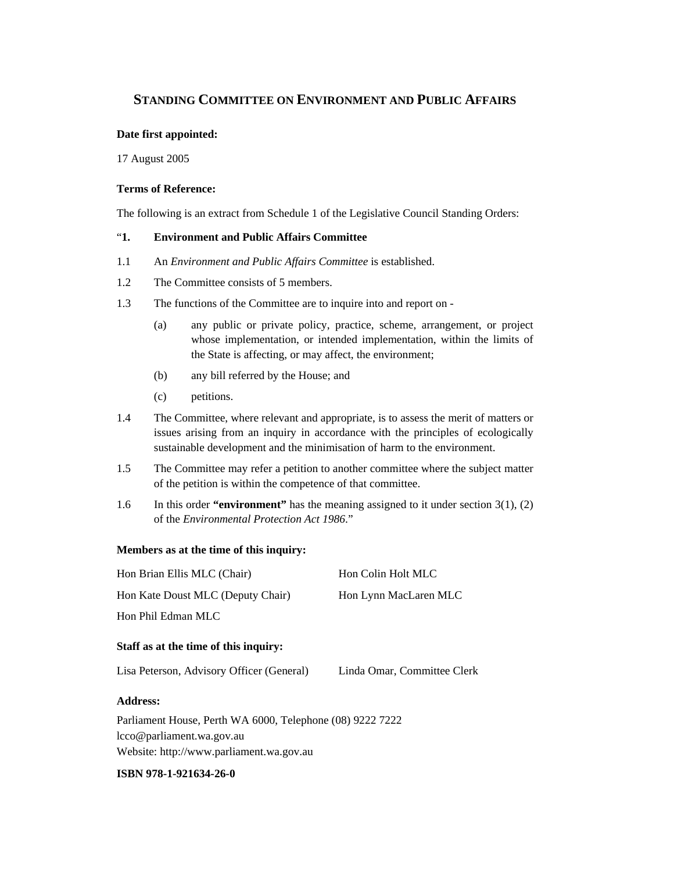### **STANDING COMMITTEE ON ENVIRONMENT AND PUBLIC AFFAIRS**

#### **Date first appointed:**

17 August 2005

#### **Terms of Reference:**

The following is an extract from Schedule 1 of the Legislative Council Standing Orders:

#### "**1. Environment and Public Affairs Committee**

- 1.1 An *Environment and Public Affairs Committee* is established.
- 1.2 The Committee consists of 5 members.
- 1.3 The functions of the Committee are to inquire into and report on
	- (a) any public or private policy, practice, scheme, arrangement, or project whose implementation, or intended implementation, within the limits of the State is affecting, or may affect, the environment;
	- (b) any bill referred by the House; and
	- (c) petitions.
- 1.4 The Committee, where relevant and appropriate, is to assess the merit of matters or issues arising from an inquiry in accordance with the principles of ecologically sustainable development and the minimisation of harm to the environment.
- 1.5 The Committee may refer a petition to another committee where the subject matter of the petition is within the competence of that committee.
- 1.6 In this order **"environment"** has the meaning assigned to it under section 3(1), (2) of the *Environmental Protection Act 1986*."

#### **Members as at the time of this inquiry:**

| Hon Brian Ellis MLC (Chair)       | Hon Colin Holt MLC    |
|-----------------------------------|-----------------------|
| Hon Kate Doust MLC (Deputy Chair) | Hon Lynn MacLaren MLC |
| Hon Phil Edman MLC                |                       |

#### **Staff as at the time of this inquiry:**

Lisa Peterson, Advisory Officer (General) Linda Omar, Committee Clerk

#### **Address:**

Parliament House, Perth WA 6000, Telephone (08) 9222 7222 lcco@parliament.wa.gov.au Website: http://www.parliament.wa.gov.au

#### **ISBN 978-1-921634-26-0**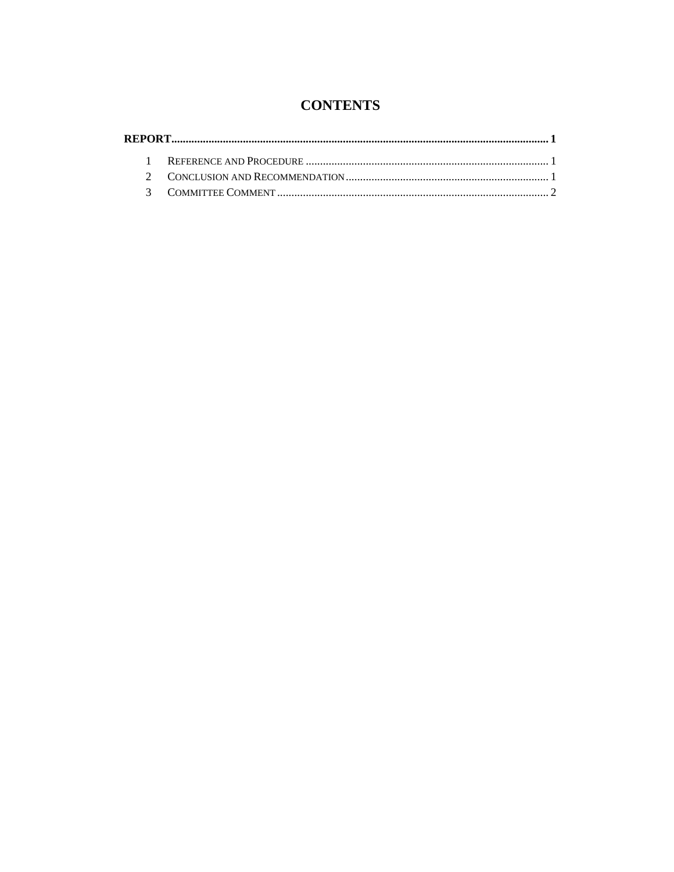## **CONTENTS**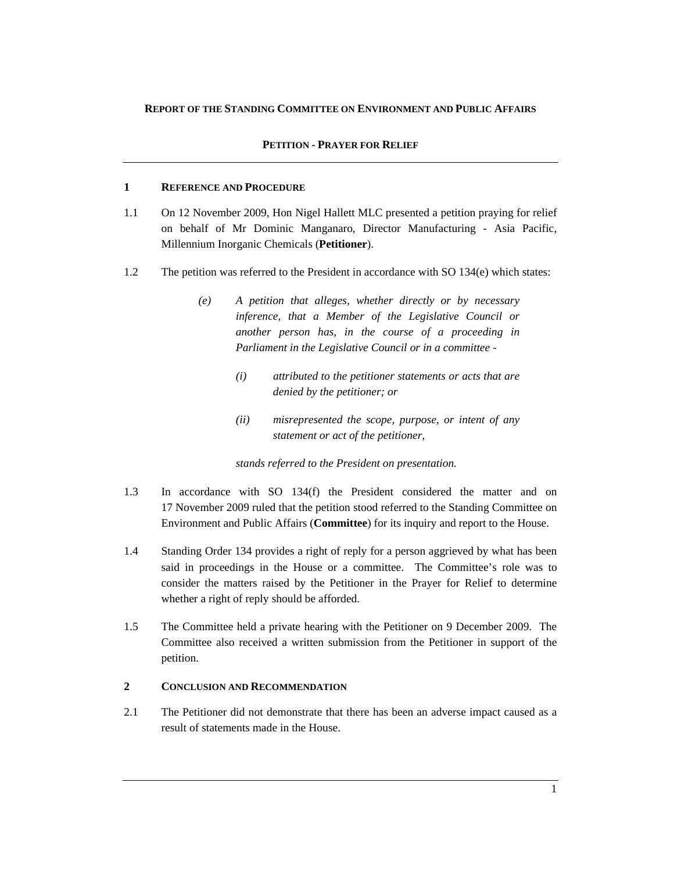#### **REPORT OF THE STANDING COMMITTEE ON ENVIRONMENT AND PUBLIC AFFAIRS**

#### **PETITION - PRAYER FOR RELIEF**

#### **1 REFERENCE AND PROCEDURE**

- 1.1 On 12 November 2009, Hon Nigel Hallett MLC presented a petition praying for relief on behalf of Mr Dominic Manganaro, Director Manufacturing - Asia Pacific, Millennium Inorganic Chemicals (**Petitioner**).
- 1.2 The petition was referred to the President in accordance with SO 134(e) which states:
	- *(e) A petition that alleges, whether directly or by necessary inference, that a Member of the Legislative Council or another person has, in the course of a proceeding in Parliament in the Legislative Council or in a committee -* 
		- *(i) attributed to the petitioner statements or acts that are denied by the petitioner; or*
		- *(ii) misrepresented the scope, purpose, or intent of any statement or act of the petitioner,*

*stands referred to the President on presentation.* 

- 1.3 In accordance with SO 134(f) the President considered the matter and on 17 November 2009 ruled that the petition stood referred to the Standing Committee on Environment and Public Affairs (**Committee**) for its inquiry and report to the House.
- 1.4 Standing Order 134 provides a right of reply for a person aggrieved by what has been said in proceedings in the House or a committee. The Committee's role was to consider the matters raised by the Petitioner in the Prayer for Relief to determine whether a right of reply should be afforded.
- 1.5 The Committee held a private hearing with the Petitioner on 9 December 2009. The Committee also received a written submission from the Petitioner in support of the petition.

#### **2 CONCLUSION AND RECOMMENDATION**

2.1 The Petitioner did not demonstrate that there has been an adverse impact caused as a result of statements made in the House.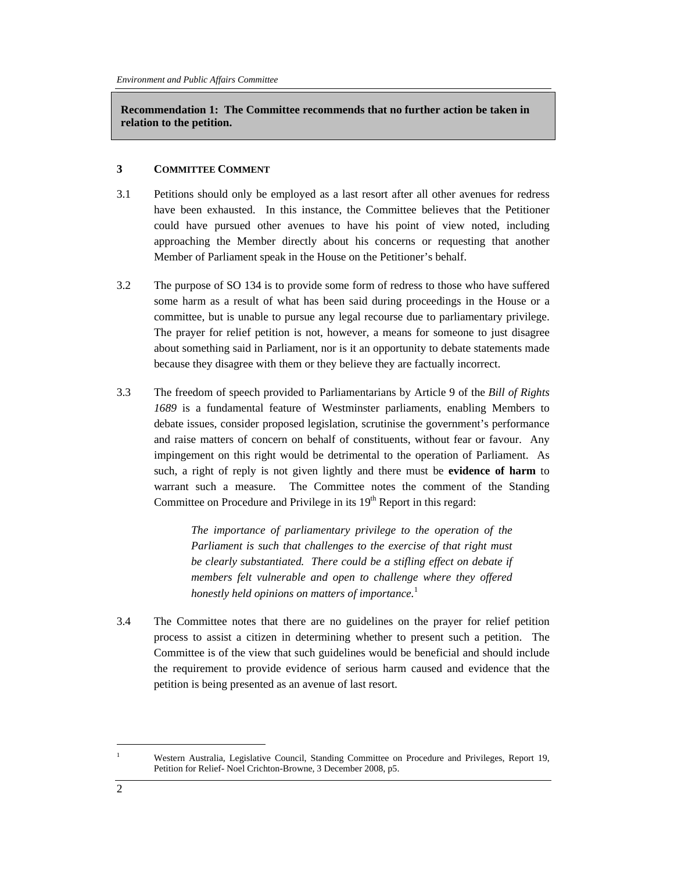**Recommendation 1: The Committee recommends that no further action be taken in relation to the petition.** 

#### **3 COMMITTEE COMMENT**

- 3.1 Petitions should only be employed as a last resort after all other avenues for redress have been exhausted. In this instance, the Committee believes that the Petitioner could have pursued other avenues to have his point of view noted, including approaching the Member directly about his concerns or requesting that another Member of Parliament speak in the House on the Petitioner's behalf.
- 3.2 The purpose of SO 134 is to provide some form of redress to those who have suffered some harm as a result of what has been said during proceedings in the House or a committee, but is unable to pursue any legal recourse due to parliamentary privilege. The prayer for relief petition is not, however, a means for someone to just disagree about something said in Parliament, nor is it an opportunity to debate statements made because they disagree with them or they believe they are factually incorrect.
- 3.3 The freedom of speech provided to Parliamentarians by Article 9 of the *Bill of Rights 1689* is a fundamental feature of Westminster parliaments, enabling Members to debate issues, consider proposed legislation, scrutinise the government's performance and raise matters of concern on behalf of constituents, without fear or favour. Any impingement on this right would be detrimental to the operation of Parliament. As such, a right of reply is not given lightly and there must be **evidence of harm** to warrant such a measure. The Committee notes the comment of the Standing Committee on Procedure and Privilege in its  $19<sup>th</sup>$  Report in this regard:

*The importance of parliamentary privilege to the operation of the Parliament is such that challenges to the exercise of that right must be clearly substantiated. There could be a stifling effect on debate if members felt vulnerable and open to challenge where they offered honestly held opinions on matters of importance.*<sup>1</sup>

3.4 The Committee notes that there are no guidelines on the prayer for relief petition process to assist a citizen in determining whether to present such a petition. The Committee is of the view that such guidelines would be beneficial and should include the requirement to provide evidence of serious harm caused and evidence that the petition is being presented as an avenue of last resort.

l 1

Western Australia, Legislative Council, Standing Committee on Procedure and Privileges, Report 19, Petition for Relief- Noel Crichton-Browne*,* 3 December 2008, p5.